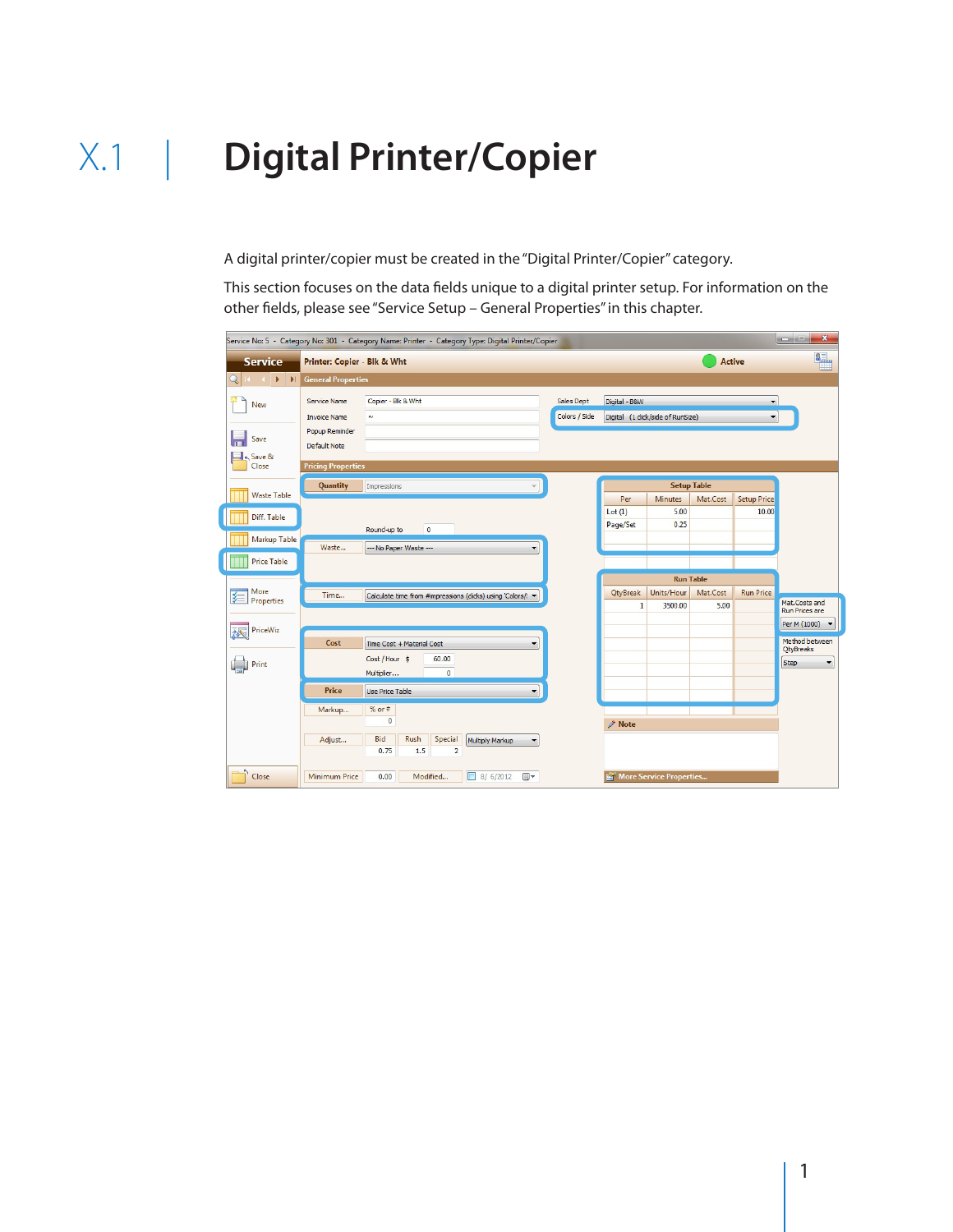A digital printer/copier must be created in the "Digital Printer/Copier" category.

This section focuses on the data fields unique to a digital printer setup. For information on the other fields, please see "Service Setup – General Properties" in this chapter.

| <b>CONSTRUCTION</b><br>$\mathbf{x}$<br>Service No: 5 - Category No: 301 - Category Name: Printer - Category Type: Digital Printer/Copier |                                                                                                                  |                                                                                       |                            |                             |                                                    |                                |                  |                               |                                                                    |
|------------------------------------------------------------------------------------------------------------------------------------------|------------------------------------------------------------------------------------------------------------------|---------------------------------------------------------------------------------------|----------------------------|-----------------------------|----------------------------------------------------|--------------------------------|------------------|-------------------------------|--------------------------------------------------------------------|
| <b>Service</b>                                                                                                                           | Printer: Copier - Blk & Wht<br><b>Active</b>                                                                     |                                                                                       |                            |                             |                                                    | 8.,                            |                  |                               |                                                                    |
| $\blacktriangleright$ $\blacktriangleright$ $\blacktriangleright$ $\sqtriangleright$ $\sqtriangleright$<br>Q<br>$-4 - 4$                 | <b>General Properties</b>                                                                                        |                                                                                       |                            |                             |                                                    |                                |                  |                               |                                                                    |
| 毲<br>New<br>Save<br>$\overline{ }$<br>← Save &<br>Close                                                                                  | <b>Service Name</b><br><b>Invoice Name</b><br>Popup Reminder<br><b>Default Note</b><br><b>Pricing Properties</b> | Copier - Blk & Wht<br>$\sim$                                                          |                            | Sales Dept<br>Colors / Side | Digital - B&W<br>Digital (1 click/side of RunSize) |                                |                  | ۰<br>$\overline{\phantom{a}}$ |                                                                    |
|                                                                                                                                          | Quantity<br>Impressions                                                                                          |                                                                                       |                            |                             | <b>Setup Table</b>                                 |                                |                  |                               |                                                                    |
| <b>Waste Table</b><br>Diff. Table                                                                                                        |                                                                                                                  | $\bullet$<br>Round-up to                                                              |                            |                             | Per<br>Lot(1)<br>Page/Set                          | <b>Minutes</b><br>5.00<br>0.25 | Mat.Cost         | <b>Setup Price</b><br>10.00   |                                                                    |
| Markup Table<br><b>Price Table</b>                                                                                                       | Waste                                                                                                            | --- No Paper Waste ---                                                                | ۰                          |                             |                                                    | <b>Run Table</b>               |                  |                               |                                                                    |
| More<br>狟<br>Properties<br><b>PriceWiz</b>                                                                                               | Time                                                                                                             | Calculate time from #impressions (clicks) using 'Colors/: v                           |                            |                             | QtyBreak<br>$\mathbf{1}$                           | Units/Hour<br>3500.00          | Mat.Cost<br>5.00 | <b>Run Price</b>              | Mat.Costs and<br><b>Run Prices are</b><br>Per M (1000)             |
| 林<br>Print                                                                                                                               | Cost                                                                                                             | Time Cost + Material Cost<br>Cost / Hour \$<br>60.00<br>$\overline{0}$<br>Multiplier  | ۰                          |                             |                                                    |                                |                  |                               | Method between<br><b>OtyBreaks</b><br>Step<br>$\blacktriangledown$ |
|                                                                                                                                          | Price                                                                                                            | <b>Use Price Table</b>                                                                | ▼                          |                             |                                                    |                                |                  |                               |                                                                    |
|                                                                                                                                          | Markup<br>Adjust                                                                                                 | $%$ or #<br>$\overline{0}$<br>Bid<br>Rush<br>Special<br>0.75<br>1.5<br>$\overline{2}$ | Multiply Markup<br>▼       |                             | $\triangle$ Note                                   |                                |                  |                               |                                                                    |
| Close                                                                                                                                    | <b>Minimum Price</b>                                                                                             | 0.00<br>Modified<br>$\blacksquare$                                                    | $\blacksquare$<br>8/6/2012 |                             | More Service Properties                            |                                |                  |                               |                                                                    |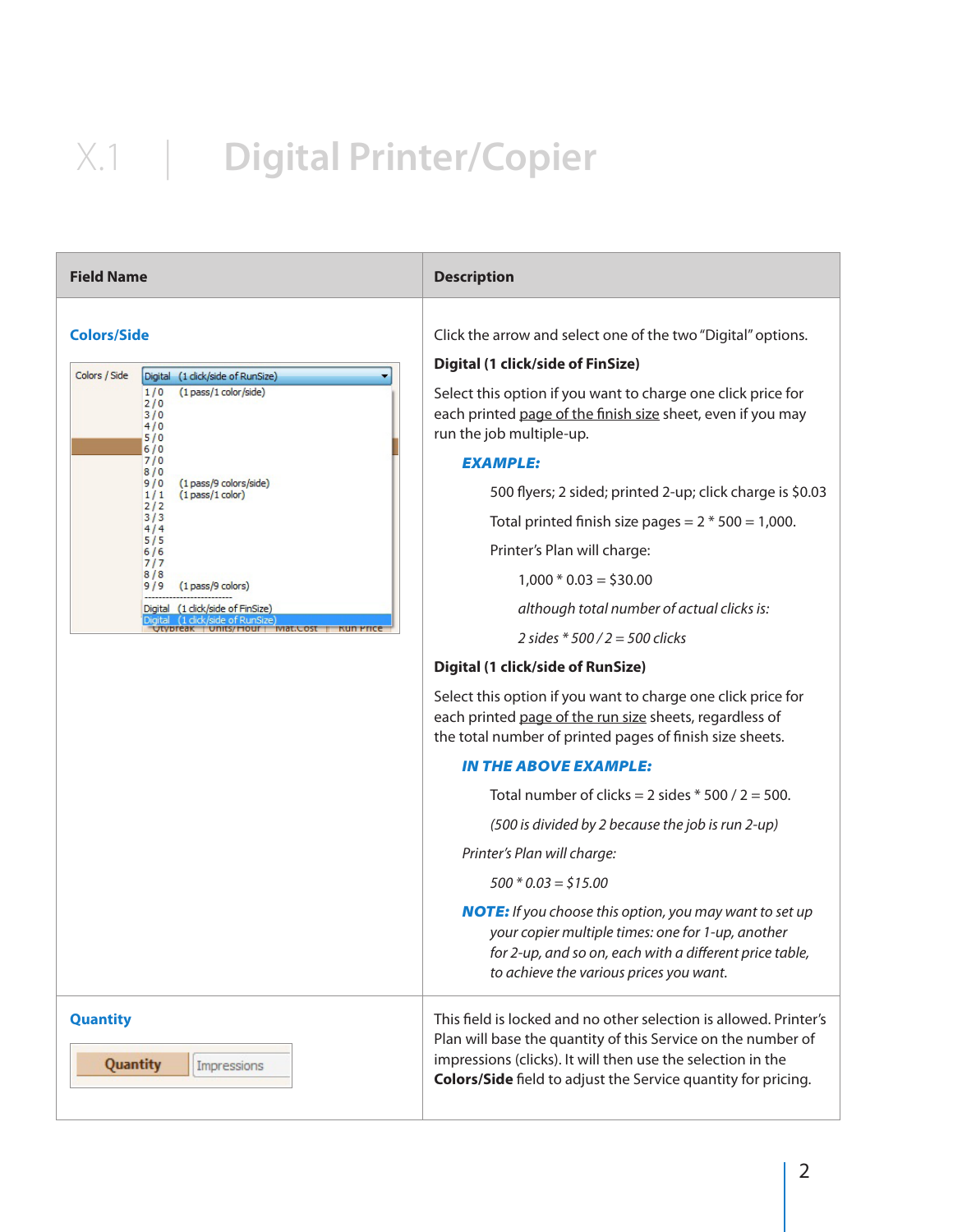| <b>Field Name</b>                                                                                                                                                                                                                                                                                                                                                      | <b>Description</b>                                                                                                                                                                                                                                                                                                                                                                                                                                                                                                                                                                                                                                                                                                                                                                                                                                                                                                                                                                                                                                                                                                                                                                                                          |
|------------------------------------------------------------------------------------------------------------------------------------------------------------------------------------------------------------------------------------------------------------------------------------------------------------------------------------------------------------------------|-----------------------------------------------------------------------------------------------------------------------------------------------------------------------------------------------------------------------------------------------------------------------------------------------------------------------------------------------------------------------------------------------------------------------------------------------------------------------------------------------------------------------------------------------------------------------------------------------------------------------------------------------------------------------------------------------------------------------------------------------------------------------------------------------------------------------------------------------------------------------------------------------------------------------------------------------------------------------------------------------------------------------------------------------------------------------------------------------------------------------------------------------------------------------------------------------------------------------------|
| <b>Colors/Side</b><br>Colors / Side<br>Digital (1 click/side of RunSize)<br>(1 pass/1 color/side)<br>1/0<br>2/0<br>3/0<br>4/0<br>5/0<br>6/0<br>7/0<br>8/0<br>9/0<br>(1 pass/9 colors/side)<br>$(1$ pass $/1$ color)<br>1/1<br>2/2<br>3/3<br>4/4<br>5/5<br>6/6<br>717<br>8/8<br>(1 pass/9 colors)<br>9/9<br>Digital (1 click/side of FinSize)<br>1 dick/side of RunSize | Click the arrow and select one of the two "Digital" options.<br><b>Digital (1 click/side of FinSize)</b><br>Select this option if you want to charge one click price for<br>each printed page of the finish size sheet, even if you may<br>run the job multiple-up.<br><b>EXAMPLE:</b><br>500 flyers; 2 sided; printed 2-up; click charge is \$0.03<br>Total printed finish size pages = $2 * 500 = 1,000$ .<br>Printer's Plan will charge:<br>$1,000 * 0.03 = $30.00$<br>although total number of actual clicks is:<br>2 sides $*500/2 = 500$ clicks<br><b>Digital (1 click/side of RunSize)</b><br>Select this option if you want to charge one click price for<br>each printed page of the run size sheets, regardless of<br>the total number of printed pages of finish size sheets.<br><b>IN THE ABOVE EXAMPLE:</b><br>Total number of clicks = $2$ sides $*$ 500 / 2 = 500.<br>(500 is divided by 2 because the job is run 2-up)<br>Printer's Plan will charge:<br>$500 * 0.03 = $15.00$<br><b>NOTE:</b> If you choose this option, you may want to set up<br>your copier multiple times: one for 1-up, another<br>for 2-up, and so on, each with a different price table,<br>to achieve the various prices you want. |
| <b>Quantity</b><br>Quantity<br>Impressions                                                                                                                                                                                                                                                                                                                             | This field is locked and no other selection is allowed. Printer's<br>Plan will base the quantity of this Service on the number of<br>impressions (clicks). It will then use the selection in the<br>Colors/Side field to adjust the Service quantity for pricing.                                                                                                                                                                                                                                                                                                                                                                                                                                                                                                                                                                                                                                                                                                                                                                                                                                                                                                                                                           |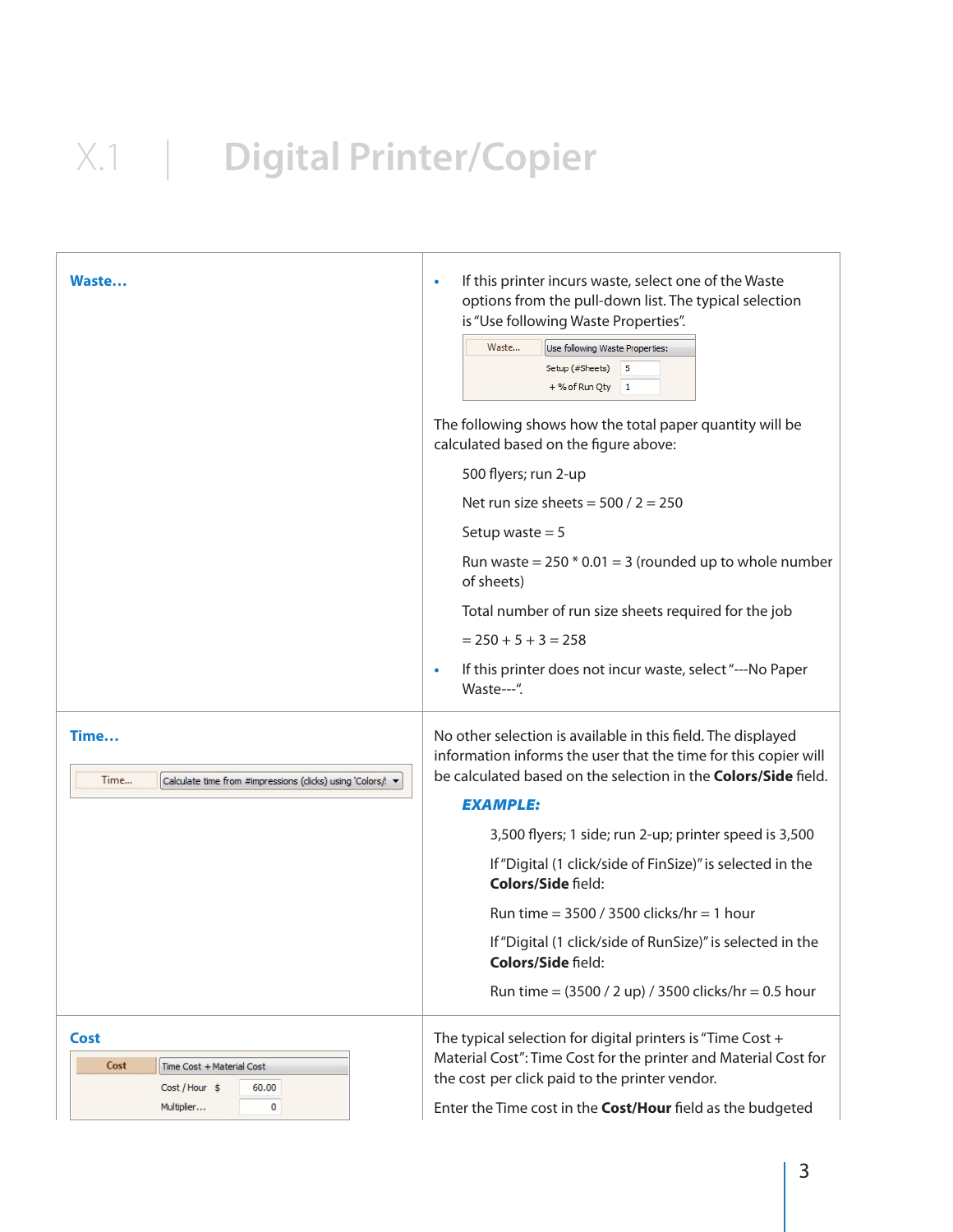| Waste                                                                                   | If this printer incurs waste, select one of the Waste<br>$\bullet$<br>options from the pull-down list. The typical selection<br>is "Use following Waste Properties".<br>Waste<br>Use following Waste Properties:<br>Setup (#Sheets) 5<br>$+$ % of Run Qty 1<br>The following shows how the total paper quantity will be<br>calculated based on the figure above:<br>500 flyers; run 2-up<br>Net run size sheets = $500 / 2 = 250$<br>Setup waste $= 5$<br>Run waste = $250 * 0.01 = 3$ (rounded up to whole number<br>of sheets)<br>Total number of run size sheets required for the job<br>$= 250 + 5 + 3 = 258$<br>If this printer does not incur waste, select "---No Paper<br>۰ |
|-----------------------------------------------------------------------------------------|-------------------------------------------------------------------------------------------------------------------------------------------------------------------------------------------------------------------------------------------------------------------------------------------------------------------------------------------------------------------------------------------------------------------------------------------------------------------------------------------------------------------------------------------------------------------------------------------------------------------------------------------------------------------------------------|
|                                                                                         | Waste---".                                                                                                                                                                                                                                                                                                                                                                                                                                                                                                                                                                                                                                                                          |
| Time<br>Time<br>Calculate time from #impressions (clicks) using 'Colors/! v             | No other selection is available in this field. The displayed<br>information informs the user that the time for this copier will<br>be calculated based on the selection in the <b>Colors/Side</b> field.<br><b>EXAMPLE:</b>                                                                                                                                                                                                                                                                                                                                                                                                                                                         |
|                                                                                         | 3,500 flyers; 1 side; run 2-up; printer speed is 3,500                                                                                                                                                                                                                                                                                                                                                                                                                                                                                                                                                                                                                              |
|                                                                                         | If "Digital (1 click/side of FinSize)" is selected in the<br>Colors/Side field:                                                                                                                                                                                                                                                                                                                                                                                                                                                                                                                                                                                                     |
|                                                                                         | Run time = $3500 / 3500$ clicks/hr = 1 hour                                                                                                                                                                                                                                                                                                                                                                                                                                                                                                                                                                                                                                         |
|                                                                                         | If "Digital (1 click/side of RunSize)" is selected in the<br><b>Colors/Side field:</b>                                                                                                                                                                                                                                                                                                                                                                                                                                                                                                                                                                                              |
|                                                                                         | Run time = $(3500 / 2$ up) / 3500 clicks/hr = 0.5 hour                                                                                                                                                                                                                                                                                                                                                                                                                                                                                                                                                                                                                              |
| Cost<br>Cost<br>Time Cost + Material Cost<br>Cost / Hour \$<br>60.00<br>Multiplier<br>0 | The typical selection for digital printers is "Time Cost +<br>Material Cost": Time Cost for the printer and Material Cost for<br>the cost per click paid to the printer vendor.<br>Enter the Time cost in the Cost/Hour field as the budgeted                                                                                                                                                                                                                                                                                                                                                                                                                                       |
|                                                                                         |                                                                                                                                                                                                                                                                                                                                                                                                                                                                                                                                                                                                                                                                                     |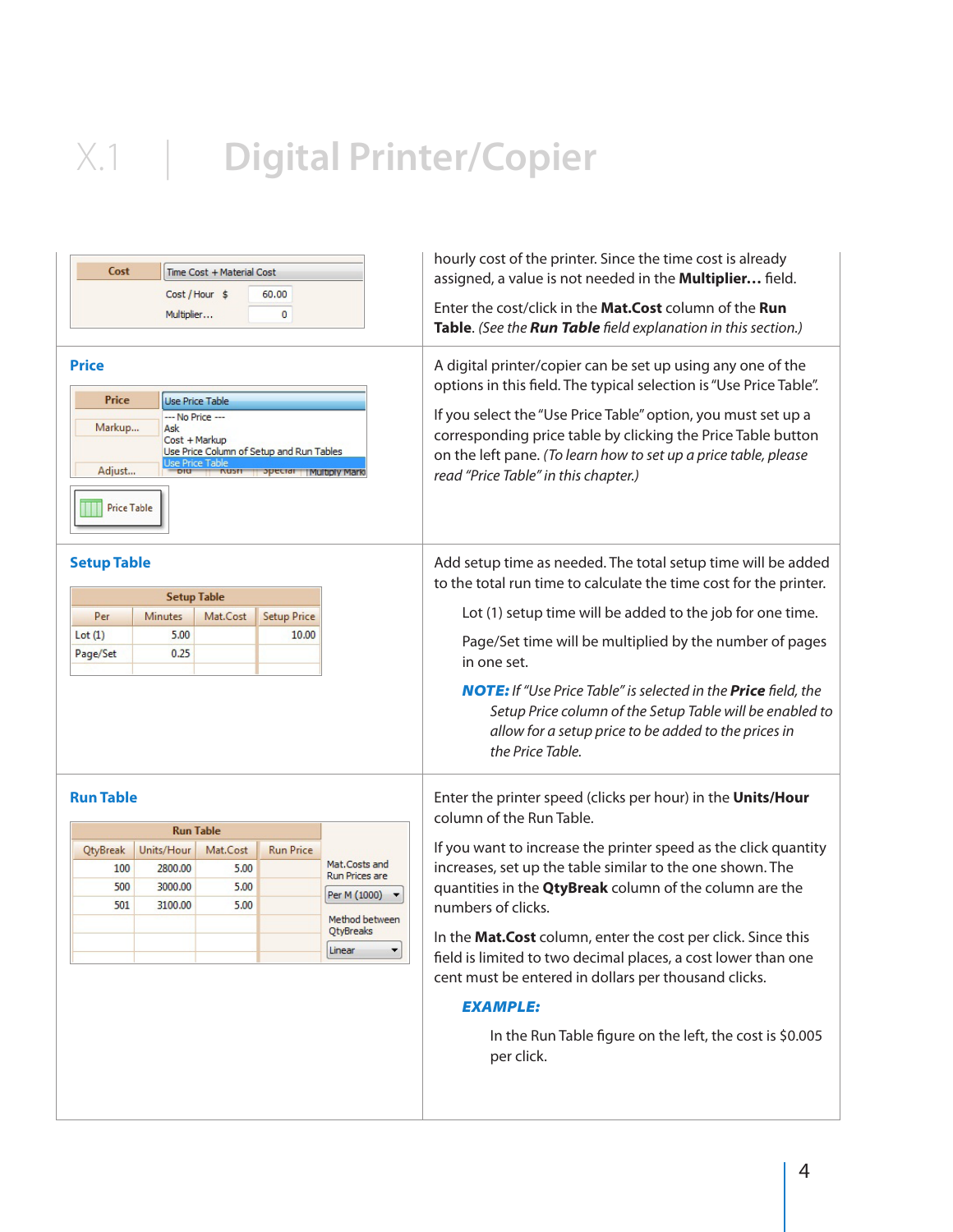| Cost<br>Time Cost + Material Cost<br>Cost / Hour \$<br>60.00<br>Multiplier<br>0<br><b>Price</b><br>Price<br><b>Use Price Table</b><br>--- No Price ---<br>Markup<br>Ask<br>Cost + Markup<br>Use Price Column of Setup and Run Tables<br><b>Use Price Table</b> |                       |                  |                          |                             | hourly cost of the printer. Since the time cost is already<br>assigned, a value is not needed in the <b>Multiplier</b> field.<br>Enter the cost/click in the Mat.Cost column of the Run<br>Table. (See the Run Table field explanation in this section.)<br>A digital printer/copier can be set up using any one of the<br>options in this field. The typical selection is "Use Price Table".<br>If you select the "Use Price Table" option, you must set up a<br>corresponding price table by clicking the Price Table button<br>on the left pane. (To learn how to set up a price table, please |  |  |  |
|----------------------------------------------------------------------------------------------------------------------------------------------------------------------------------------------------------------------------------------------------------------|-----------------------|------------------|--------------------------|-----------------------------|---------------------------------------------------------------------------------------------------------------------------------------------------------------------------------------------------------------------------------------------------------------------------------------------------------------------------------------------------------------------------------------------------------------------------------------------------------------------------------------------------------------------------------------------------------------------------------------------------|--|--|--|
| Adjust<br><b>Price Table</b>                                                                                                                                                                                                                                   |                       |                  | opecial I Multiply Marki |                             | read "Price Table" in this chapter.)                                                                                                                                                                                                                                                                                                                                                                                                                                                                                                                                                              |  |  |  |
| <b>Setup Table</b>                                                                                                                                                                                                                                             | <b>Setup Table</b>    |                  |                          |                             | Add setup time as needed. The total setup time will be added<br>to the total run time to calculate the time cost for the printer.                                                                                                                                                                                                                                                                                                                                                                                                                                                                 |  |  |  |
| Per                                                                                                                                                                                                                                                            | Minutes               | Mat.Cost         | <b>Setup Price</b>       |                             | Lot (1) setup time will be added to the job for one time.                                                                                                                                                                                                                                                                                                                                                                                                                                                                                                                                         |  |  |  |
| Lot(1)                                                                                                                                                                                                                                                         | 5.00                  |                  | 10.00                    |                             | Page/Set time will be multiplied by the number of pages                                                                                                                                                                                                                                                                                                                                                                                                                                                                                                                                           |  |  |  |
| Page/Set                                                                                                                                                                                                                                                       | 0.25                  |                  |                          |                             | in one set.                                                                                                                                                                                                                                                                                                                                                                                                                                                                                                                                                                                       |  |  |  |
|                                                                                                                                                                                                                                                                |                       |                  |                          |                             | <b>NOTE:</b> If "Use Price Table" is selected in the <b>Price</b> field, the<br>Setup Price column of the Setup Table will be enabled to<br>allow for a setup price to be added to the prices in<br>the Price Table.                                                                                                                                                                                                                                                                                                                                                                              |  |  |  |
| <b>Run Table</b>                                                                                                                                                                                                                                               |                       |                  |                          |                             | Enter the printer speed (clicks per hour) in the Units/Hour<br>column of the Run Table.                                                                                                                                                                                                                                                                                                                                                                                                                                                                                                           |  |  |  |
|                                                                                                                                                                                                                                                                |                       | <b>Run Table</b> |                          |                             | If you want to increase the printer speed as the click quantity                                                                                                                                                                                                                                                                                                                                                                                                                                                                                                                                   |  |  |  |
| <b>QtyBreak</b><br>100                                                                                                                                                                                                                                         | Units/Hour<br>2800.00 | Mat.Cost<br>5.00 | <b>Run Price</b>         | Mat.Costs and               | increases, set up the table similar to the one shown. The                                                                                                                                                                                                                                                                                                                                                                                                                                                                                                                                         |  |  |  |
| 500                                                                                                                                                                                                                                                            | 3000.00               | 5.00             |                          | <b>Run Prices are</b>       | quantities in the <b>QtyBreak</b> column of the column are the                                                                                                                                                                                                                                                                                                                                                                                                                                                                                                                                    |  |  |  |
| 501                                                                                                                                                                                                                                                            | 3100.00               | 5.00             |                          | Per M (1000)                | numbers of clicks.                                                                                                                                                                                                                                                                                                                                                                                                                                                                                                                                                                                |  |  |  |
|                                                                                                                                                                                                                                                                |                       |                  |                          | Method between<br>QtyBreaks |                                                                                                                                                                                                                                                                                                                                                                                                                                                                                                                                                                                                   |  |  |  |
|                                                                                                                                                                                                                                                                |                       |                  |                          | Linear                      | In the Mat.Cost column, enter the cost per click. Since this<br>field is limited to two decimal places, a cost lower than one<br>cent must be entered in dollars per thousand clicks.                                                                                                                                                                                                                                                                                                                                                                                                             |  |  |  |
|                                                                                                                                                                                                                                                                |                       |                  |                          |                             | <b>EXAMPLE:</b>                                                                                                                                                                                                                                                                                                                                                                                                                                                                                                                                                                                   |  |  |  |
|                                                                                                                                                                                                                                                                |                       |                  |                          |                             | In the Run Table figure on the left, the cost is \$0.005<br>per click.                                                                                                                                                                                                                                                                                                                                                                                                                                                                                                                            |  |  |  |